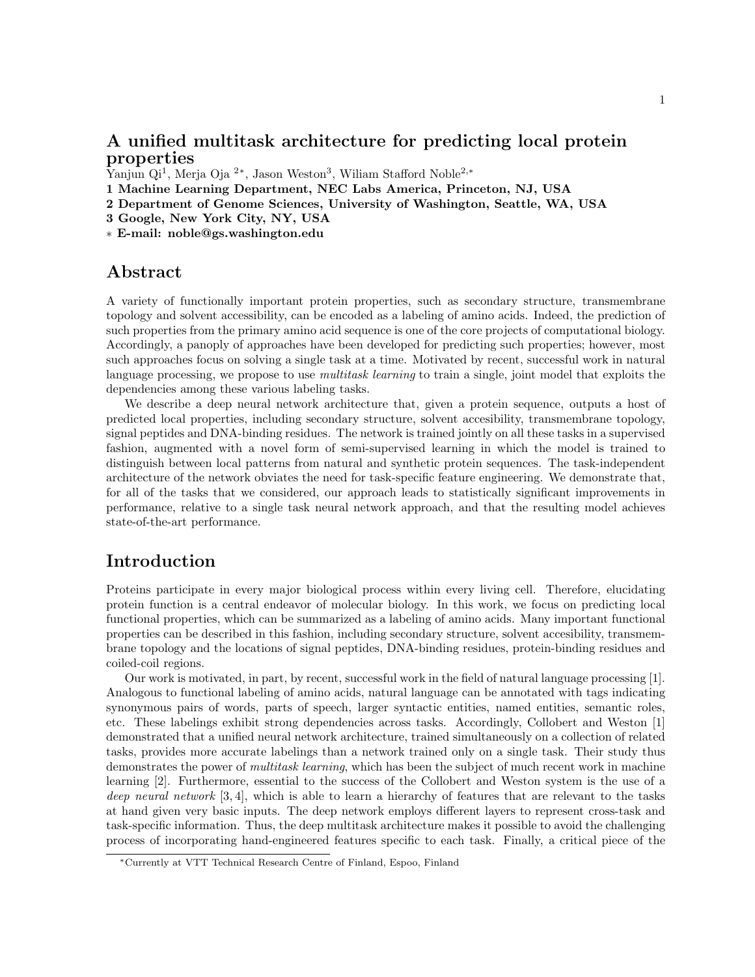# A unified multitask architecture for predicting local protein properties

Yanjun Qi<sup>1</sup>, Merja Oja<sup>2\*</sup>, Jason Weston<sup>3</sup>, Wiliam Stafford Noble<sup>2,\*</sup>

1 Machine Learning Department, NEC Labs America, Princeton, NJ, USA

2 Department of Genome Sciences, University of Washington, Seattle, WA, USA

3 Google, New York City, NY, USA

∗ E-mail: noble@gs.washington.edu

## Abstract

A variety of functionally important protein properties, such as secondary structure, transmembrane topology and solvent accessibility, can be encoded as a labeling of amino acids. Indeed, the prediction of such properties from the primary amino acid sequence is one of the core projects of computational biology. Accordingly, a panoply of approaches have been developed for predicting such properties; however, most such approaches focus on solving a single task at a time. Motivated by recent, successful work in natural language processing, we propose to use *multitask learning* to train a single, joint model that exploits the dependencies among these various labeling tasks.

We describe a deep neural network architecture that, given a protein sequence, outputs a host of predicted local properties, including secondary structure, solvent accesibility, transmembrane topology, signal peptides and DNA-binding residues. The network is trained jointly on all these tasks in a supervised fashion, augmented with a novel form of semi-supervised learning in which the model is trained to distinguish between local patterns from natural and synthetic protein sequences. The task-independent architecture of the network obviates the need for task-specific feature engineering. We demonstrate that, for all of the tasks that we considered, our approach leads to statistically significant improvements in performance, relative to a single task neural network approach, and that the resulting model achieves state-of-the-art performance.

# Introduction

Proteins participate in every major biological process within every living cell. Therefore, elucidating protein function is a central endeavor of molecular biology. In this work, we focus on predicting local functional properties, which can be summarized as a labeling of amino acids. Many important functional properties can be described in this fashion, including secondary structure, solvent accesibility, transmembrane topology and the locations of signal peptides, DNA-binding residues, protein-binding residues and coiled-coil regions.

Our work is motivated, in part, by recent, successful work in the field of natural language processing [1]. Analogous to functional labeling of amino acids, natural language can be annotated with tags indicating synonymous pairs of words, parts of speech, larger syntactic entities, named entities, semantic roles, etc. These labelings exhibit strong dependencies across tasks. Accordingly, Collobert and Weston [1] demonstrated that a unified neural network architecture, trained simultaneously on a collection of related tasks, provides more accurate labelings than a network trained only on a single task. Their study thus demonstrates the power of *multitask learning*, which has been the subject of much recent work in machine learning [2]. Furthermore, essential to the success of the Collobert and Weston system is the use of a deep neural network  $[3, 4]$ , which is able to learn a hierarchy of features that are relevant to the tasks at hand given very basic inputs. The deep network employs different layers to represent cross-task and task-specific information. Thus, the deep multitask architecture makes it possible to avoid the challenging process of incorporating hand-engineered features specific to each task. Finally, a critical piece of the

<sup>∗</sup>Currently at VTT Technical Research Centre of Finland, Espoo, Finland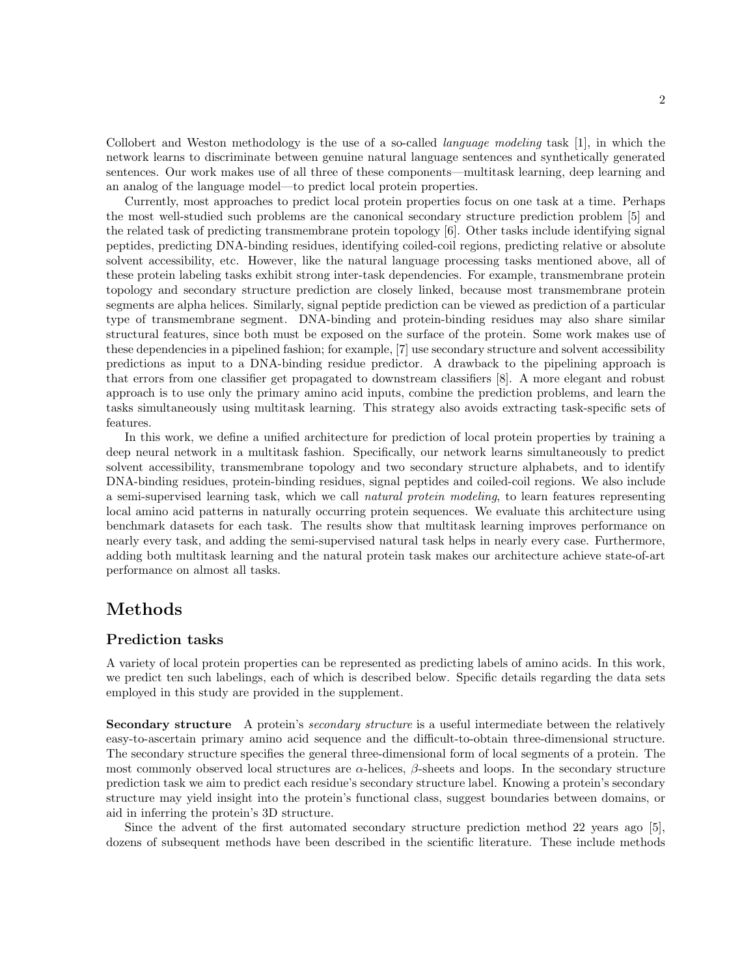Collobert and Weston methodology is the use of a so-called language modeling task [1], in which the network learns to discriminate between genuine natural language sentences and synthetically generated sentences. Our work makes use of all three of these components—multitask learning, deep learning and an analog of the language model—to predict local protein properties.

Currently, most approaches to predict local protein properties focus on one task at a time. Perhaps the most well-studied such problems are the canonical secondary structure prediction problem [5] and the related task of predicting transmembrane protein topology [6]. Other tasks include identifying signal peptides, predicting DNA-binding residues, identifying coiled-coil regions, predicting relative or absolute solvent accessibility, etc. However, like the natural language processing tasks mentioned above, all of these protein labeling tasks exhibit strong inter-task dependencies. For example, transmembrane protein topology and secondary structure prediction are closely linked, because most transmembrane protein segments are alpha helices. Similarly, signal peptide prediction can be viewed as prediction of a particular type of transmembrane segment. DNA-binding and protein-binding residues may also share similar structural features, since both must be exposed on the surface of the protein. Some work makes use of these dependencies in a pipelined fashion; for example, [7] use secondary structure and solvent accessibility predictions as input to a DNA-binding residue predictor. A drawback to the pipelining approach is that errors from one classifier get propagated to downstream classifiers [8]. A more elegant and robust approach is to use only the primary amino acid inputs, combine the prediction problems, and learn the tasks simultaneously using multitask learning. This strategy also avoids extracting task-specific sets of features.

In this work, we define a unified architecture for prediction of local protein properties by training a deep neural network in a multitask fashion. Specifically, our network learns simultaneously to predict solvent accessibility, transmembrane topology and two secondary structure alphabets, and to identify DNA-binding residues, protein-binding residues, signal peptides and coiled-coil regions. We also include a semi-supervised learning task, which we call natural protein modeling, to learn features representing local amino acid patterns in naturally occurring protein sequences. We evaluate this architecture using benchmark datasets for each task. The results show that multitask learning improves performance on nearly every task, and adding the semi-supervised natural task helps in nearly every case. Furthermore, adding both multitask learning and the natural protein task makes our architecture achieve state-of-art performance on almost all tasks.

# Methods

### Prediction tasks

A variety of local protein properties can be represented as predicting labels of amino acids. In this work, we predict ten such labelings, each of which is described below. Specific details regarding the data sets employed in this study are provided in the supplement.

Secondary structure A protein's *secondary structure* is a useful intermediate between the relatively easy-to-ascertain primary amino acid sequence and the difficult-to-obtain three-dimensional structure. The secondary structure specifies the general three-dimensional form of local segments of a protein. The most commonly observed local structures are  $\alpha$ -helices,  $\beta$ -sheets and loops. In the secondary structure prediction task we aim to predict each residue's secondary structure label. Knowing a protein's secondary structure may yield insight into the protein's functional class, suggest boundaries between domains, or aid in inferring the protein's 3D structure.

Since the advent of the first automated secondary structure prediction method 22 years ago [5], dozens of subsequent methods have been described in the scientific literature. These include methods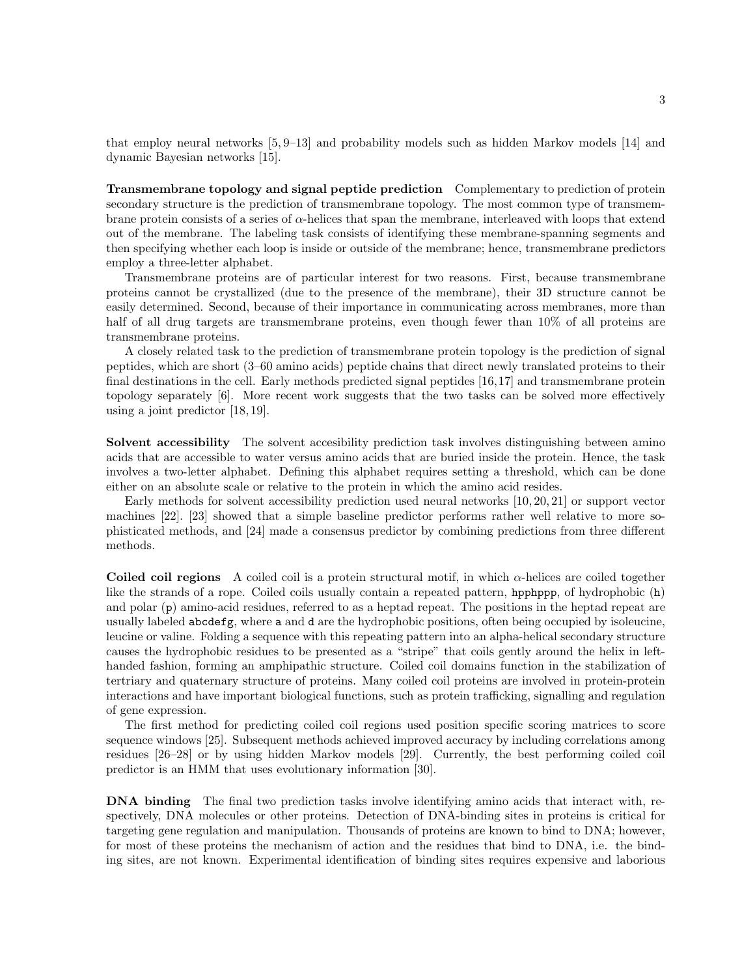that employ neural networks [5, 9–13] and probability models such as hidden Markov models [14] and dynamic Bayesian networks [15].

Transmembrane topology and signal peptide prediction Complementary to prediction of protein secondary structure is the prediction of transmembrane topology. The most common type of transmembrane protein consists of a series of  $\alpha$ -helices that span the membrane, interleaved with loops that extend out of the membrane. The labeling task consists of identifying these membrane-spanning segments and then specifying whether each loop is inside or outside of the membrane; hence, transmembrane predictors employ a three-letter alphabet.

Transmembrane proteins are of particular interest for two reasons. First, because transmembrane proteins cannot be crystallized (due to the presence of the membrane), their 3D structure cannot be easily determined. Second, because of their importance in communicating across membranes, more than half of all drug targets are transmembrane proteins, even though fewer than  $10\%$  of all proteins are transmembrane proteins.

A closely related task to the prediction of transmembrane protein topology is the prediction of signal peptides, which are short (3–60 amino acids) peptide chains that direct newly translated proteins to their final destinations in the cell. Early methods predicted signal peptides [16,17] and transmembrane protein topology separately [6]. More recent work suggests that the two tasks can be solved more effectively using a joint predictor [18, 19].

Solvent accessibility The solvent accesibility prediction task involves distinguishing between amino acids that are accessible to water versus amino acids that are buried inside the protein. Hence, the task involves a two-letter alphabet. Defining this alphabet requires setting a threshold, which can be done either on an absolute scale or relative to the protein in which the amino acid resides.

Early methods for solvent accessibility prediction used neural networks [10, 20, 21] or support vector machines [22]. [23] showed that a simple baseline predictor performs rather well relative to more sophisticated methods, and [24] made a consensus predictor by combining predictions from three different methods.

Coiled coil regions A coiled coil is a protein structural motif, in which  $\alpha$ -helices are coiled together like the strands of a rope. Coiled coils usually contain a repeated pattern, hpphppp, of hydrophobic (h) and polar (p) amino-acid residues, referred to as a heptad repeat. The positions in the heptad repeat are usually labeled abcdefg, where a and d are the hydrophobic positions, often being occupied by isoleucine, leucine or valine. Folding a sequence with this repeating pattern into an alpha-helical secondary structure causes the hydrophobic residues to be presented as a "stripe" that coils gently around the helix in lefthanded fashion, forming an amphipathic structure. Coiled coil domains function in the stabilization of tertriary and quaternary structure of proteins. Many coiled coil proteins are involved in protein-protein interactions and have important biological functions, such as protein trafficking, signalling and regulation of gene expression.

The first method for predicting coiled coil regions used position specific scoring matrices to score sequence windows [25]. Subsequent methods achieved improved accuracy by including correlations among residues [26–28] or by using hidden Markov models [29]. Currently, the best performing coiled coil predictor is an HMM that uses evolutionary information [30].

DNA binding The final two prediction tasks involve identifying amino acids that interact with, respectively, DNA molecules or other proteins. Detection of DNA-binding sites in proteins is critical for targeting gene regulation and manipulation. Thousands of proteins are known to bind to DNA; however, for most of these proteins the mechanism of action and the residues that bind to DNA, i.e. the binding sites, are not known. Experimental identification of binding sites requires expensive and laborious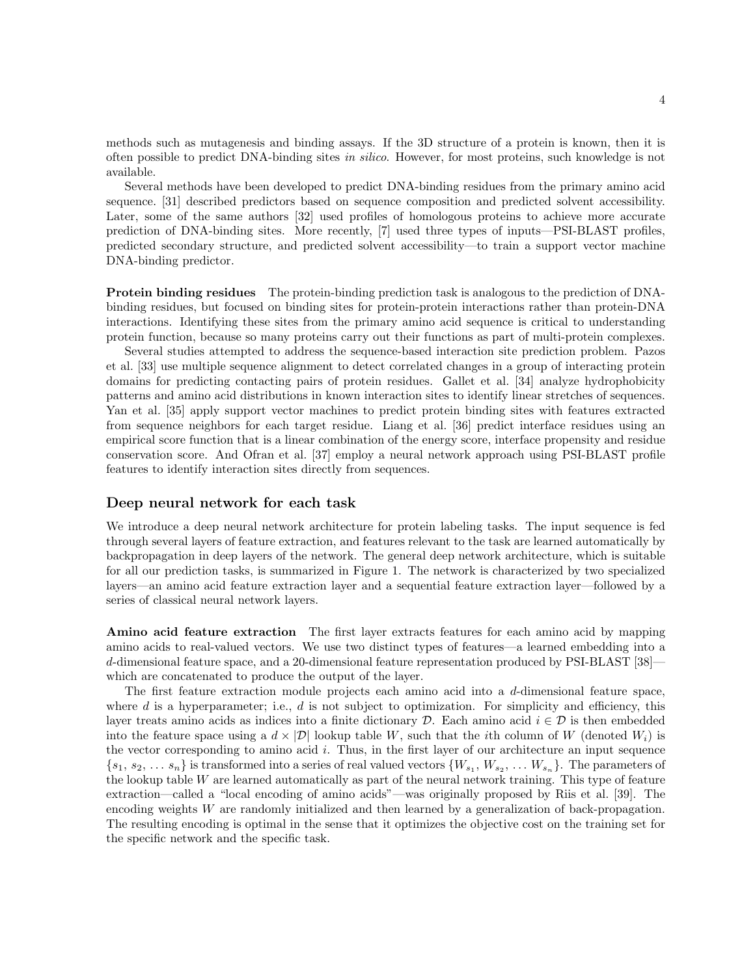methods such as mutagenesis and binding assays. If the 3D structure of a protein is known, then it is often possible to predict DNA-binding sites in silico. However, for most proteins, such knowledge is not available.

Several methods have been developed to predict DNA-binding residues from the primary amino acid sequence. [31] described predictors based on sequence composition and predicted solvent accessibility. Later, some of the same authors [32] used profiles of homologous proteins to achieve more accurate prediction of DNA-binding sites. More recently, [7] used three types of inputs—PSI-BLAST profiles, predicted secondary structure, and predicted solvent accessibility—to train a support vector machine DNA-binding predictor.

**Protein binding residues** The protein-binding prediction task is analogous to the prediction of DNAbinding residues, but focused on binding sites for protein-protein interactions rather than protein-DNA interactions. Identifying these sites from the primary amino acid sequence is critical to understanding protein function, because so many proteins carry out their functions as part of multi-protein complexes.

Several studies attempted to address the sequence-based interaction site prediction problem. Pazos et al. [33] use multiple sequence alignment to detect correlated changes in a group of interacting protein domains for predicting contacting pairs of protein residues. Gallet et al. [34] analyze hydrophobicity patterns and amino acid distributions in known interaction sites to identify linear stretches of sequences. Yan et al. [35] apply support vector machines to predict protein binding sites with features extracted from sequence neighbors for each target residue. Liang et al. [36] predict interface residues using an empirical score function that is a linear combination of the energy score, interface propensity and residue conservation score. And Ofran et al. [37] employ a neural network approach using PSI-BLAST profile features to identify interaction sites directly from sequences.

#### Deep neural network for each task

We introduce a deep neural network architecture for protein labeling tasks. The input sequence is fed through several layers of feature extraction, and features relevant to the task are learned automatically by backpropagation in deep layers of the network. The general deep network architecture, which is suitable for all our prediction tasks, is summarized in Figure 1. The network is characterized by two specialized layers—an amino acid feature extraction layer and a sequential feature extraction layer—followed by a series of classical neural network layers.

Amino acid feature extraction The first layer extracts features for each amino acid by mapping amino acids to real-valued vectors. We use two distinct types of features—a learned embedding into a d-dimensional feature space, and a 20-dimensional feature representation produced by PSI-BLAST [38]which are concatenated to produce the output of the layer.

The first feature extraction module projects each amino acid into a d-dimensional feature space, where d is a hyperparameter; i.e.,  $d$  is not subject to optimization. For simplicity and efficiency, this layer treats amino acids as indices into a finite dictionary  $D$ . Each amino acid  $i \in D$  is then embedded into the feature space using a  $d \times |D|$  lookup table W, such that the *i*th column of W (denoted  $W_i$ ) is the vector corresponding to amino acid  $i$ . Thus, in the first layer of our architecture an input sequence  $\{s_1, s_2, \ldots s_n\}$  is transformed into a series of real valued vectors  $\{W_{s_1}, W_{s_2}, \ldots W_{s_n}\}$ . The parameters of the lookup table  $W$  are learned automatically as part of the neural network training. This type of feature extraction—called a "local encoding of amino acids"—was originally proposed by Riis et al. [39]. The encoding weights W are randomly initialized and then learned by a generalization of back-propagation. The resulting encoding is optimal in the sense that it optimizes the objective cost on the training set for the specific network and the specific task.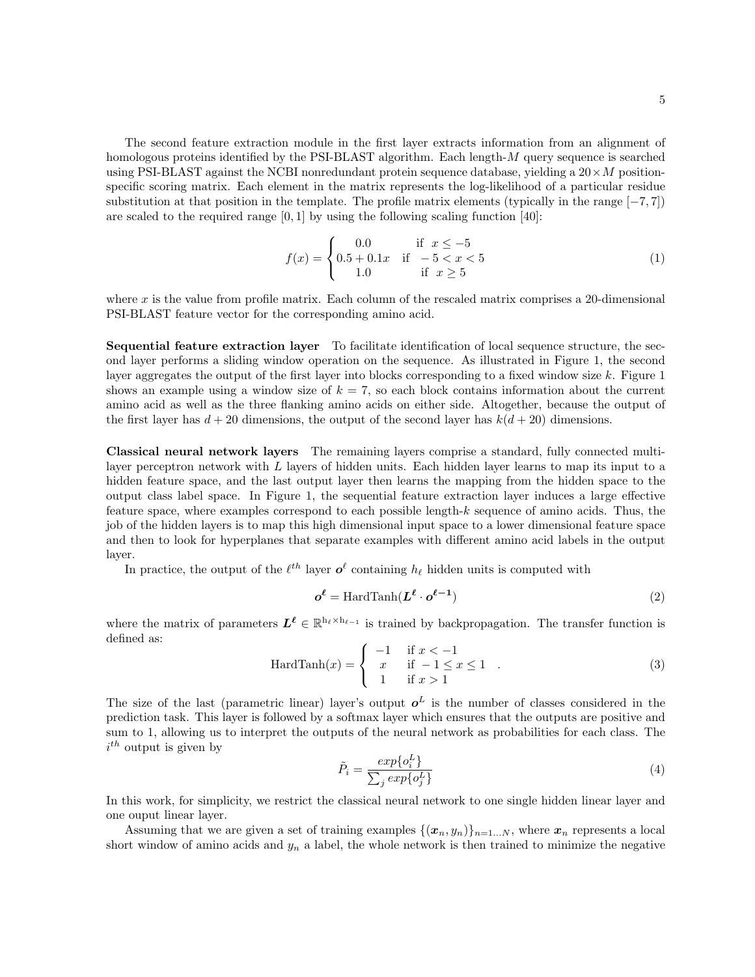The second feature extraction module in the first layer extracts information from an alignment of homologous proteins identified by the PSI-BLAST algorithm. Each length-M query sequence is searched using PSI-BLAST against the NCBI nonredundant protein sequence database, yielding a  $20 \times M$  positionspecific scoring matrix. Each element in the matrix represents the log-likelihood of a particular residue substitution at that position in the template. The profile matrix elements (typically in the range  $[-7, 7]$ ) are scaled to the required range  $[0, 1]$  by using the following scaling function  $[40]$ :

$$
f(x) = \begin{cases} 0.0 & \text{if } x \le -5 \\ 0.5 + 0.1x & \text{if } -5 < x < 5 \\ 1.0 & \text{if } x \ge 5 \end{cases}
$$
 (1)

where  $x$  is the value from profile matrix. Each column of the rescaled matrix comprises a 20-dimensional PSI-BLAST feature vector for the corresponding amino acid.

Sequential feature extraction layer To facilitate identification of local sequence structure, the second layer performs a sliding window operation on the sequence. As illustrated in Figure 1, the second layer aggregates the output of the first layer into blocks corresponding to a fixed window size  $k$ . Figure 1 shows an example using a window size of  $k = 7$ , so each block contains information about the current amino acid as well as the three flanking amino acids on either side. Altogether, because the output of the first layer has  $d + 20$  dimensions, the output of the second layer has  $k(d + 20)$  dimensions.

Classical neural network layers The remaining layers comprise a standard, fully connected multilayer perceptron network with L layers of hidden units. Each hidden layer learns to map its input to a hidden feature space, and the last output layer then learns the mapping from the hidden space to the output class label space. In Figure 1, the sequential feature extraction layer induces a large effective feature space, where examples correspond to each possible length-k sequence of amino acids. Thus, the job of the hidden layers is to map this high dimensional input space to a lower dimensional feature space and then to look for hyperplanes that separate examples with different amino acid labels in the output layer.

In practice, the output of the  $\ell^{th}$  layer  $o^{\ell}$  containing  $h_{\ell}$  hidden units is computed with

$$
o^{\ell} = \text{HardTanh}(L^{\ell} \cdot o^{\ell-1})
$$
\n(2)

where the matrix of parameters  $L^{\ell} \in \mathbb{R}^{h_{\ell} \times h_{\ell-1}}$  is trained by backpropagation. The transfer function is defined as:

$$
\text{HardTanh}(x) = \begin{cases} -1 & \text{if } x < -1 \\ x & \text{if } -1 \le x \le 1 \\ 1 & \text{if } x > 1 \end{cases} \tag{3}
$$

The size of the last (parametric linear) layer's output  $o<sup>L</sup>$  is the number of classes considered in the prediction task. This layer is followed by a softmax layer which ensures that the outputs are positive and sum to 1, allowing us to interpret the outputs of the neural network as probabilities for each class. The  $i^{th}$  output is given by

$$
\tilde{P}_i = \frac{exp\{o_i^L\}}{\sum_j exp\{o_j^L\}}\tag{4}
$$

In this work, for simplicity, we restrict the classical neural network to one single hidden linear layer and one ouput linear layer.

Assuming that we are given a set of training examples  $\{(x_n, y_n)\}_{n=1...N}$ , where  $x_n$  represents a local short window of amino acids and  $y_n$  a label, the whole network is then trained to minimize the negative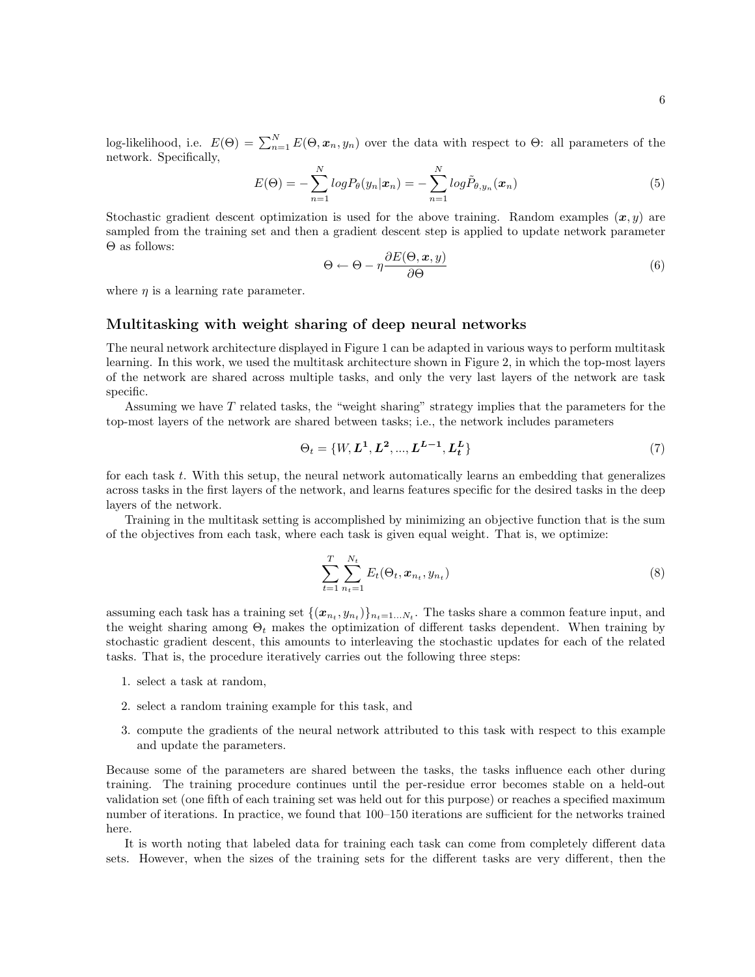log-likelihood, i.e.  $E(\Theta) = \sum_{n=1}^{N} E(\Theta, x_n, y_n)$  over the data with respect to  $\Theta$ : all parameters of the network. Specifically,

$$
E(\Theta) = -\sum_{n=1}^{N} log P_{\theta}(y_n | \boldsymbol{x}_n) = -\sum_{n=1}^{N} log \tilde{P}_{\theta, y_n}(\boldsymbol{x}_n)
$$
\n(5)

Stochastic gradient descent optimization is used for the above training. Random examples  $(x, y)$  are sampled from the training set and then a gradient descent step is applied to update network parameter Θ as follows:

$$
\Theta \leftarrow \Theta - \eta \frac{\partial E(\Theta, \mathbf{x}, y)}{\partial \Theta} \tag{6}
$$

where  $\eta$  is a learning rate parameter.

#### Multitasking with weight sharing of deep neural networks

The neural network architecture displayed in Figure 1 can be adapted in various ways to perform multitask learning. In this work, we used the multitask architecture shown in Figure 2, in which the top-most layers of the network are shared across multiple tasks, and only the very last layers of the network are task specific.

Assuming we have T related tasks, the "weight sharing" strategy implies that the parameters for the top-most layers of the network are shared between tasks; i.e., the network includes parameters

$$
\Theta_t = \{W, L^1, L^2, ..., L^{L-1}, L_t^L\}
$$
\n(7)

for each task t. With this setup, the neural network automatically learns an embedding that generalizes across tasks in the first layers of the network, and learns features specific for the desired tasks in the deep layers of the network.

Training in the multitask setting is accomplished by minimizing an objective function that is the sum of the objectives from each task, where each task is given equal weight. That is, we optimize:

$$
\sum_{t=1}^{T} \sum_{n_t=1}^{N_t} E_t(\Theta_t, \boldsymbol{x}_{n_t}, y_{n_t})
$$
\n(8)

assuming each task has a training set  $\{(x_{n_t}, y_{n_t})\}_{n_t=1...N_t}$ . The tasks share a common feature input, and the weight sharing among  $\Theta_t$  makes the optimization of different tasks dependent. When training by stochastic gradient descent, this amounts to interleaving the stochastic updates for each of the related tasks. That is, the procedure iteratively carries out the following three steps:

- 1. select a task at random,
- 2. select a random training example for this task, and
- 3. compute the gradients of the neural network attributed to this task with respect to this example and update the parameters.

Because some of the parameters are shared between the tasks, the tasks influence each other during training. The training procedure continues until the per-residue error becomes stable on a held-out validation set (one fifth of each training set was held out for this purpose) or reaches a specified maximum number of iterations. In practice, we found that 100–150 iterations are sufficient for the networks trained here.

It is worth noting that labeled data for training each task can come from completely different data sets. However, when the sizes of the training sets for the different tasks are very different, then the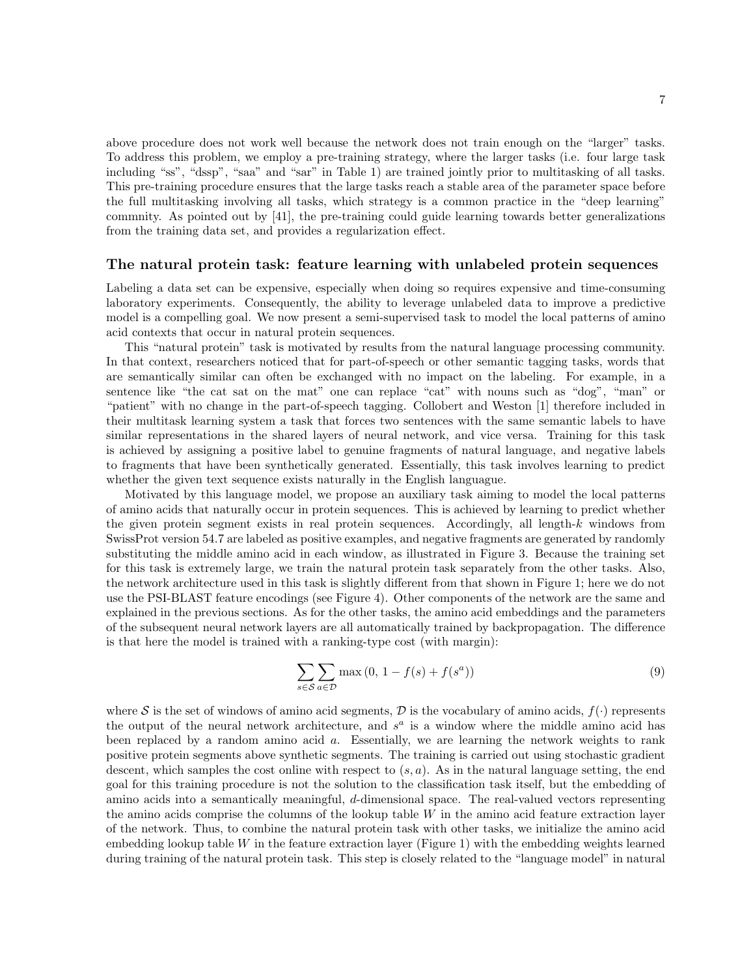above procedure does not work well because the network does not train enough on the "larger" tasks. To address this problem, we employ a pre-training strategy, where the larger tasks (i.e. four large task including "ss", "dssp", "saa" and "sar" in Table 1) are trained jointly prior to multitasking of all tasks. This pre-training procedure ensures that the large tasks reach a stable area of the parameter space before the full multitasking involving all tasks, which strategy is a common practice in the "deep learning" commnity. As pointed out by [41], the pre-training could guide learning towards better generalizations from the training data set, and provides a regularization effect.

#### The natural protein task: feature learning with unlabeled protein sequences

Labeling a data set can be expensive, especially when doing so requires expensive and time-consuming laboratory experiments. Consequently, the ability to leverage unlabeled data to improve a predictive model is a compelling goal. We now present a semi-supervised task to model the local patterns of amino acid contexts that occur in natural protein sequences.

This "natural protein" task is motivated by results from the natural language processing community. In that context, researchers noticed that for part-of-speech or other semantic tagging tasks, words that are semantically similar can often be exchanged with no impact on the labeling. For example, in a sentence like "the cat sat on the mat" one can replace "cat" with nouns such as "dog", "man" or "patient" with no change in the part-of-speech tagging. Collobert and Weston [1] therefore included in their multitask learning system a task that forces two sentences with the same semantic labels to have similar representations in the shared layers of neural network, and vice versa. Training for this task is achieved by assigning a positive label to genuine fragments of natural language, and negative labels to fragments that have been synthetically generated. Essentially, this task involves learning to predict whether the given text sequence exists naturally in the English languague.

Motivated by this language model, we propose an auxiliary task aiming to model the local patterns of amino acids that naturally occur in protein sequences. This is achieved by learning to predict whether the given protein segment exists in real protein sequences. Accordingly, all length- $k$  windows from SwissProt version 54.7 are labeled as positive examples, and negative fragments are generated by randomly substituting the middle amino acid in each window, as illustrated in Figure 3. Because the training set for this task is extremely large, we train the natural protein task separately from the other tasks. Also, the network architecture used in this task is slightly different from that shown in Figure 1; here we do not use the PSI-BLAST feature encodings (see Figure 4). Other components of the network are the same and explained in the previous sections. As for the other tasks, the amino acid embeddings and the parameters of the subsequent neural network layers are all automatically trained by backpropagation. The difference is that here the model is trained with a ranking-type cost (with margin):

$$
\sum_{s \in \mathcal{S}} \sum_{a \in \mathcal{D}} \max(0, 1 - f(s) + f(s^a)) \tag{9}
$$

where S is the set of windows of amino acid segments, D is the vocabulary of amino acids,  $f(\cdot)$  represents the output of the neural network architecture, and  $s^a$  is a window where the middle amino acid has been replaced by a random amino acid a. Essentially, we are learning the network weights to rank positive protein segments above synthetic segments. The training is carried out using stochastic gradient descent, which samples the cost online with respect to  $(s, a)$ . As in the natural language setting, the end goal for this training procedure is not the solution to the classification task itself, but the embedding of amino acids into a semantically meaningful, d-dimensional space. The real-valued vectors representing the amino acids comprise the columns of the lookup table  $W$  in the amino acid feature extraction layer of the network. Thus, to combine the natural protein task with other tasks, we initialize the amino acid embedding lookup table W in the feature extraction layer (Figure 1) with the embedding weights learned during training of the natural protein task. This step is closely related to the "language model" in natural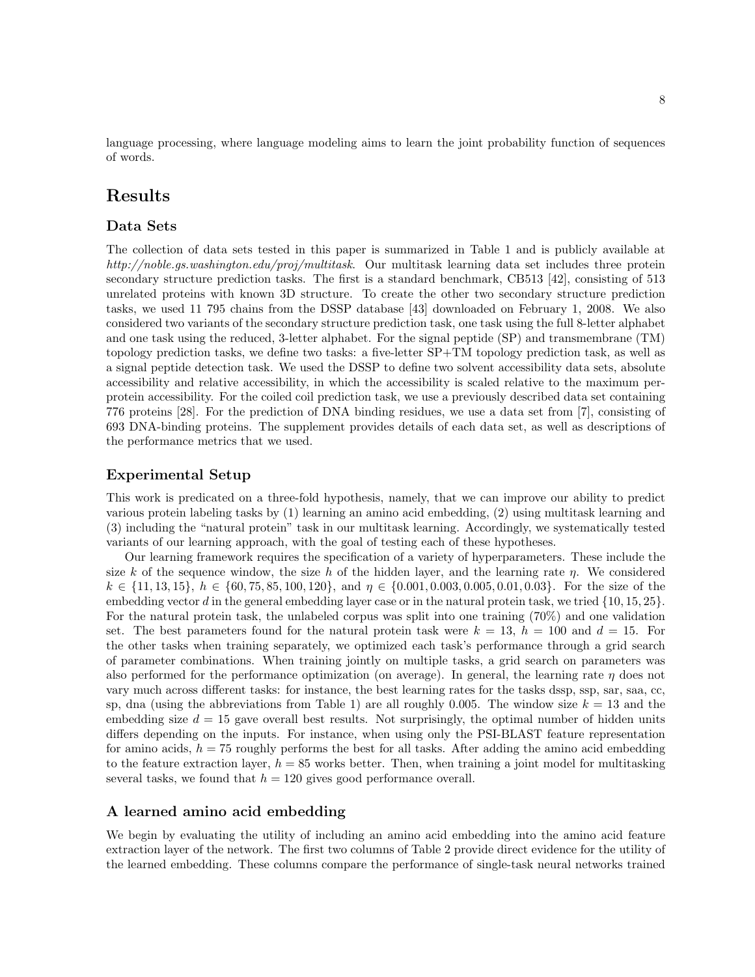language processing, where language modeling aims to learn the joint probability function of sequences of words.

# Results

### Data Sets

The collection of data sets tested in this paper is summarized in Table 1 and is publicly available at http://noble.gs.washington.edu/proj/multitask. Our multitask learning data set includes three protein secondary structure prediction tasks. The first is a standard benchmark, CB513 [42], consisting of 513 unrelated proteins with known 3D structure. To create the other two secondary structure prediction tasks, we used 11 795 chains from the DSSP database [43] downloaded on February 1, 2008. We also considered two variants of the secondary structure prediction task, one task using the full 8-letter alphabet and one task using the reduced, 3-letter alphabet. For the signal peptide (SP) and transmembrane (TM) topology prediction tasks, we define two tasks: a five-letter SP+TM topology prediction task, as well as a signal peptide detection task. We used the DSSP to define two solvent accessibility data sets, absolute accessibility and relative accessibility, in which the accessibility is scaled relative to the maximum perprotein accessibility. For the coiled coil prediction task, we use a previously described data set containing 776 proteins [28]. For the prediction of DNA binding residues, we use a data set from [7], consisting of 693 DNA-binding proteins. The supplement provides details of each data set, as well as descriptions of the performance metrics that we used.

### Experimental Setup

This work is predicated on a three-fold hypothesis, namely, that we can improve our ability to predict various protein labeling tasks by (1) learning an amino acid embedding, (2) using multitask learning and (3) including the "natural protein" task in our multitask learning. Accordingly, we systematically tested variants of our learning approach, with the goal of testing each of these hypotheses.

Our learning framework requires the specification of a variety of hyperparameters. These include the size k of the sequence window, the size h of the hidden layer, and the learning rate  $\eta$ . We considered  $k \in \{11, 13, 15\}, h \in \{60, 75, 85, 100, 120\}, \text{ and } \eta \in \{0.001, 0.003, 0.005, 0.01, 0.03\}.$  For the size of the embedding vector d in the general embedding layer case or in the natural protein task, we tried  $\{10, 15, 25\}$ . For the natural protein task, the unlabeled corpus was split into one training (70%) and one validation set. The best parameters found for the natural protein task were  $k = 13$ ,  $h = 100$  and  $d = 15$ . For the other tasks when training separately, we optimized each task's performance through a grid search of parameter combinations. When training jointly on multiple tasks, a grid search on parameters was also performed for the performance optimization (on average). In general, the learning rate  $\eta$  does not vary much across different tasks: for instance, the best learning rates for the tasks dssp, ssp, sar, saa, cc, sp, dna (using the abbreviations from Table 1) are all roughly 0.005. The window size  $k = 13$  and the embedding size  $d = 15$  gave overall best results. Not surprisingly, the optimal number of hidden units differs depending on the inputs. For instance, when using only the PSI-BLAST feature representation for amino acids,  $h = 75$  roughly performs the best for all tasks. After adding the amino acid embedding to the feature extraction layer,  $h = 85$  works better. Then, when training a joint model for multitasking several tasks, we found that  $h = 120$  gives good performance overall.

#### A learned amino acid embedding

We begin by evaluating the utility of including an amino acid embedding into the amino acid feature extraction layer of the network. The first two columns of Table 2 provide direct evidence for the utility of the learned embedding. These columns compare the performance of single-task neural networks trained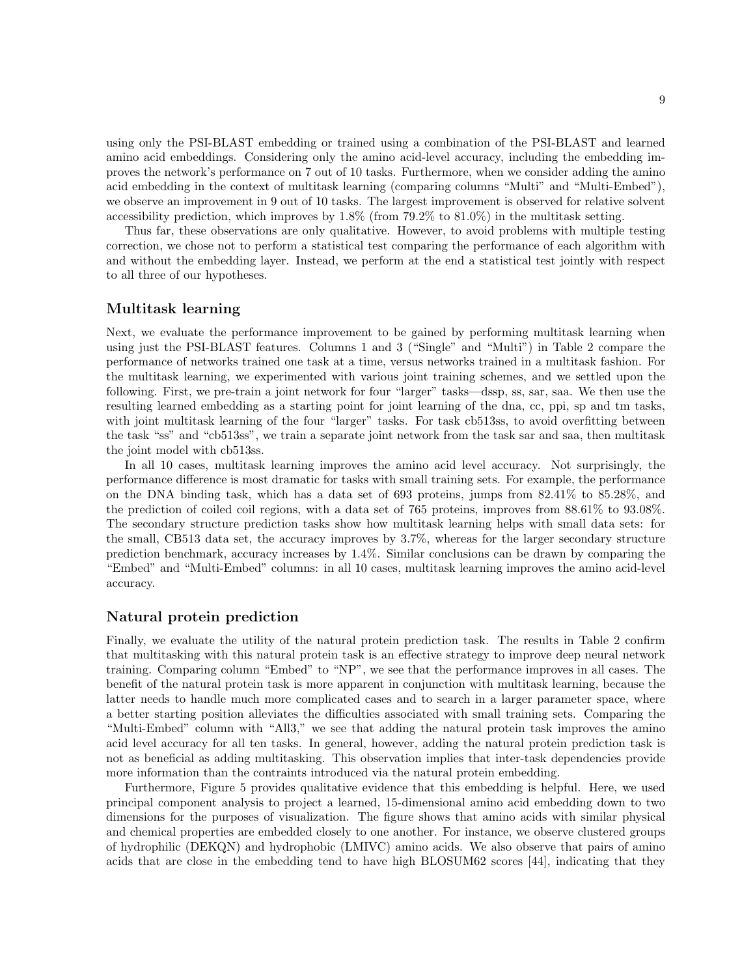using only the PSI-BLAST embedding or trained using a combination of the PSI-BLAST and learned amino acid embeddings. Considering only the amino acid-level accuracy, including the embedding improves the network's performance on 7 out of 10 tasks. Furthermore, when we consider adding the amino acid embedding in the context of multitask learning (comparing columns "Multi" and "Multi-Embed"), we observe an improvement in 9 out of 10 tasks. The largest improvement is observed for relative solvent accessibility prediction, which improves by 1.8% (from 79.2% to 81.0%) in the multitask setting.

Thus far, these observations are only qualitative. However, to avoid problems with multiple testing correction, we chose not to perform a statistical test comparing the performance of each algorithm with and without the embedding layer. Instead, we perform at the end a statistical test jointly with respect to all three of our hypotheses.

#### Multitask learning

Next, we evaluate the performance improvement to be gained by performing multitask learning when using just the PSI-BLAST features. Columns 1 and 3 ("Single" and "Multi") in Table 2 compare the performance of networks trained one task at a time, versus networks trained in a multitask fashion. For the multitask learning, we experimented with various joint training schemes, and we settled upon the following. First, we pre-train a joint network for four "larger" tasks—dssp, ss, sar, saa. We then use the resulting learned embedding as a starting point for joint learning of the dna, cc, ppi, sp and tm tasks, with joint multitask learning of the four "larger" tasks. For task cb513ss, to avoid overfitting between the task "ss" and "cb513ss", we train a separate joint network from the task sar and saa, then multitask the joint model with cb513ss.

In all 10 cases, multitask learning improves the amino acid level accuracy. Not surprisingly, the performance difference is most dramatic for tasks with small training sets. For example, the performance on the DNA binding task, which has a data set of 693 proteins, jumps from 82.41% to 85.28%, and the prediction of coiled coil regions, with a data set of 765 proteins, improves from 88.61% to 93.08%. The secondary structure prediction tasks show how multitask learning helps with small data sets: for the small, CB513 data set, the accuracy improves by 3.7%, whereas for the larger secondary structure prediction benchmark, accuracy increases by 1.4%. Similar conclusions can be drawn by comparing the "Embed" and "Multi-Embed" columns: in all 10 cases, multitask learning improves the amino acid-level accuracy.

### Natural protein prediction

Finally, we evaluate the utility of the natural protein prediction task. The results in Table 2 confirm that multitasking with this natural protein task is an effective strategy to improve deep neural network training. Comparing column "Embed" to "NP", we see that the performance improves in all cases. The benefit of the natural protein task is more apparent in conjunction with multitask learning, because the latter needs to handle much more complicated cases and to search in a larger parameter space, where a better starting position alleviates the difficulties associated with small training sets. Comparing the "Multi-Embed" column with "All3," we see that adding the natural protein task improves the amino acid level accuracy for all ten tasks. In general, however, adding the natural protein prediction task is not as beneficial as adding multitasking. This observation implies that inter-task dependencies provide more information than the contraints introduced via the natural protein embedding.

Furthermore, Figure 5 provides qualitative evidence that this embedding is helpful. Here, we used principal component analysis to project a learned, 15-dimensional amino acid embedding down to two dimensions for the purposes of visualization. The figure shows that amino acids with similar physical and chemical properties are embedded closely to one another. For instance, we observe clustered groups of hydrophilic (DEKQN) and hydrophobic (LMIVC) amino acids. We also observe that pairs of amino acids that are close in the embedding tend to have high BLOSUM62 scores [44], indicating that they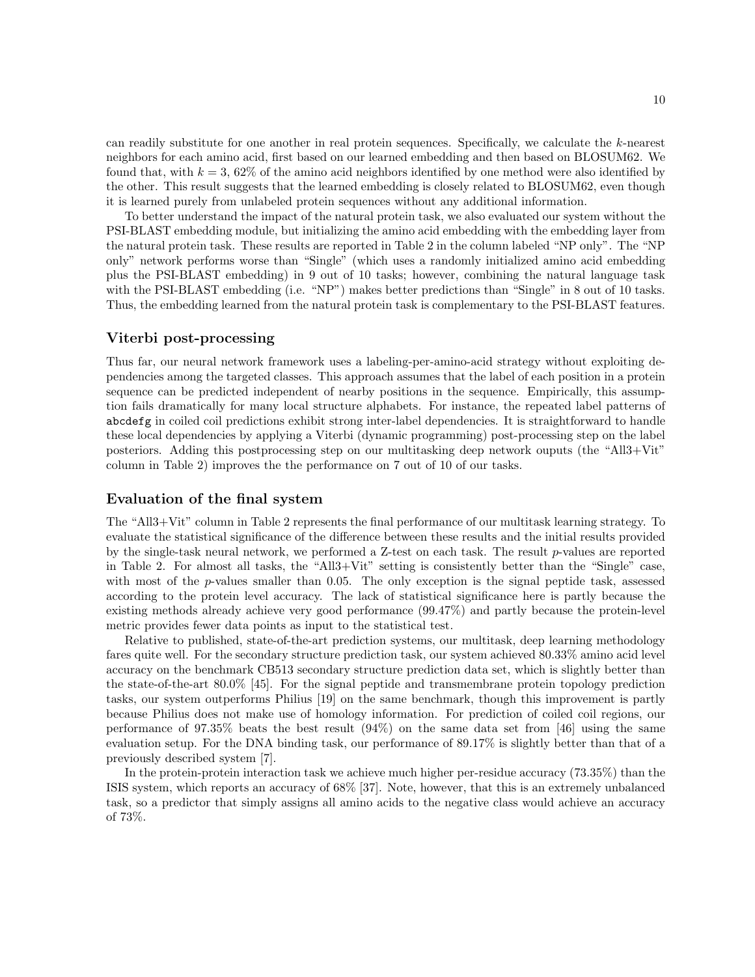can readily substitute for one another in real protein sequences. Specifically, we calculate the k-nearest neighbors for each amino acid, first based on our learned embedding and then based on BLOSUM62. We found that, with  $k = 3$ , 62% of the amino acid neighbors identified by one method were also identified by the other. This result suggests that the learned embedding is closely related to BLOSUM62, even though it is learned purely from unlabeled protein sequences without any additional information.

To better understand the impact of the natural protein task, we also evaluated our system without the PSI-BLAST embedding module, but initializing the amino acid embedding with the embedding layer from the natural protein task. These results are reported in Table 2 in the column labeled "NP only". The "NP only" network performs worse than "Single" (which uses a randomly initialized amino acid embedding plus the PSI-BLAST embedding) in 9 out of 10 tasks; however, combining the natural language task with the PSI-BLAST embedding (i.e. "NP") makes better predictions than "Single" in 8 out of 10 tasks. Thus, the embedding learned from the natural protein task is complementary to the PSI-BLAST features.

### Viterbi post-processing

Thus far, our neural network framework uses a labeling-per-amino-acid strategy without exploiting dependencies among the targeted classes. This approach assumes that the label of each position in a protein sequence can be predicted independent of nearby positions in the sequence. Empirically, this assumption fails dramatically for many local structure alphabets. For instance, the repeated label patterns of abcdefg in coiled coil predictions exhibit strong inter-label dependencies. It is straightforward to handle these local dependencies by applying a Viterbi (dynamic programming) post-processing step on the label posteriors. Adding this postprocessing step on our multitasking deep network ouputs (the "All3+Vit" column in Table 2) improves the the performance on 7 out of 10 of our tasks.

### Evaluation of the final system

The "All3+Vit" column in Table 2 represents the final performance of our multitask learning strategy. To evaluate the statistical significance of the difference between these results and the initial results provided by the single-task neural network, we performed a  $Z$ -test on each task. The result  $p$ -values are reported in Table 2. For almost all tasks, the "All3+Vit" setting is consistently better than the "Single" case, with most of the p-values smaller than 0.05. The only exception is the signal peptide task, assessed according to the protein level accuracy. The lack of statistical significance here is partly because the existing methods already achieve very good performance (99.47%) and partly because the protein-level metric provides fewer data points as input to the statistical test.

Relative to published, state-of-the-art prediction systems, our multitask, deep learning methodology fares quite well. For the secondary structure prediction task, our system achieved 80.33% amino acid level accuracy on the benchmark CB513 secondary structure prediction data set, which is slightly better than the state-of-the-art 80.0% [45]. For the signal peptide and transmembrane protein topology prediction tasks, our system outperforms Philius [19] on the same benchmark, though this improvement is partly because Philius does not make use of homology information. For prediction of coiled coil regions, our performance of 97.35% beats the best result  $(94%)$  on the same data set from [46] using the same evaluation setup. For the DNA binding task, our performance of 89.17% is slightly better than that of a previously described system [7].

In the protein-protein interaction task we achieve much higher per-residue accuracy (73.35%) than the ISIS system, which reports an accuracy of 68% [37]. Note, however, that this is an extremely unbalanced task, so a predictor that simply assigns all amino acids to the negative class would achieve an accuracy of 73%.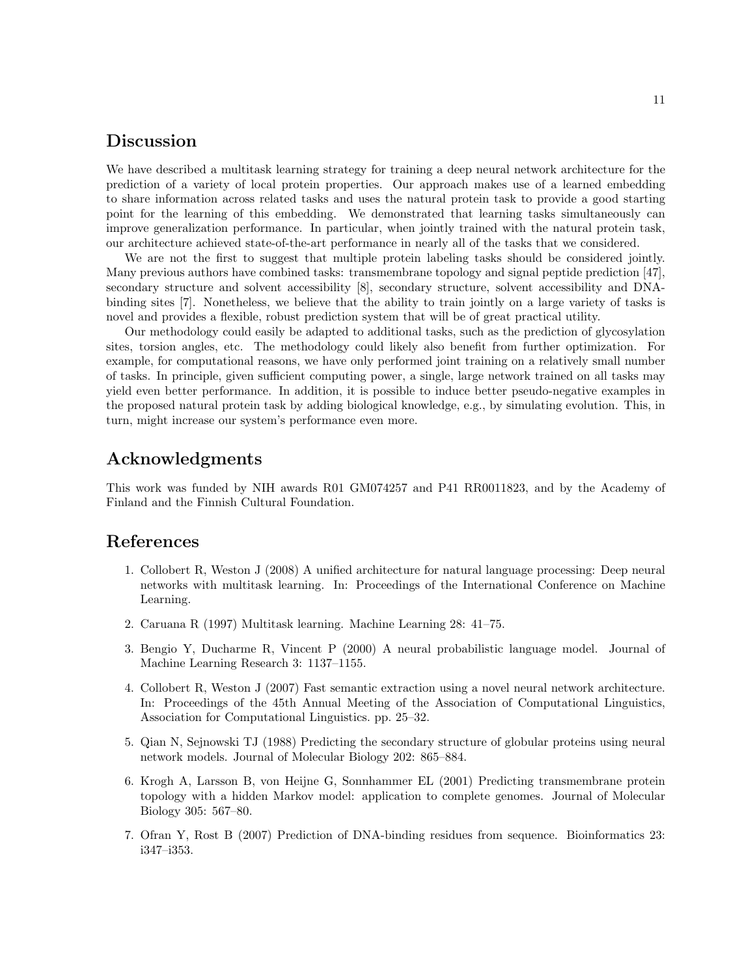## Discussion

We have described a multitask learning strategy for training a deep neural network architecture for the prediction of a variety of local protein properties. Our approach makes use of a learned embedding to share information across related tasks and uses the natural protein task to provide a good starting point for the learning of this embedding. We demonstrated that learning tasks simultaneously can improve generalization performance. In particular, when jointly trained with the natural protein task, our architecture achieved state-of-the-art performance in nearly all of the tasks that we considered.

We are not the first to suggest that multiple protein labeling tasks should be considered jointly. Many previous authors have combined tasks: transmembrane topology and signal peptide prediction [47], secondary structure and solvent accessibility [8], secondary structure, solvent accessibility and DNAbinding sites [7]. Nonetheless, we believe that the ability to train jointly on a large variety of tasks is novel and provides a flexible, robust prediction system that will be of great practical utility.

Our methodology could easily be adapted to additional tasks, such as the prediction of glycosylation sites, torsion angles, etc. The methodology could likely also benefit from further optimization. For example, for computational reasons, we have only performed joint training on a relatively small number of tasks. In principle, given sufficient computing power, a single, large network trained on all tasks may yield even better performance. In addition, it is possible to induce better pseudo-negative examples in the proposed natural protein task by adding biological knowledge, e.g., by simulating evolution. This, in turn, might increase our system's performance even more.

## Acknowledgments

This work was funded by NIH awards R01 GM074257 and P41 RR0011823, and by the Academy of Finland and the Finnish Cultural Foundation.

## References

- 1. Collobert R, Weston J (2008) A unified architecture for natural language processing: Deep neural networks with multitask learning. In: Proceedings of the International Conference on Machine Learning.
- 2. Caruana R (1997) Multitask learning. Machine Learning 28: 41–75.
- 3. Bengio Y, Ducharme R, Vincent P (2000) A neural probabilistic language model. Journal of Machine Learning Research 3: 1137–1155.
- 4. Collobert R, Weston J (2007) Fast semantic extraction using a novel neural network architecture. In: Proceedings of the 45th Annual Meeting of the Association of Computational Linguistics, Association for Computational Linguistics. pp. 25–32.
- 5. Qian N, Sejnowski TJ (1988) Predicting the secondary structure of globular proteins using neural network models. Journal of Molecular Biology 202: 865–884.
- 6. Krogh A, Larsson B, von Heijne G, Sonnhammer EL (2001) Predicting transmembrane protein topology with a hidden Markov model: application to complete genomes. Journal of Molecular Biology 305: 567–80.
- 7. Ofran Y, Rost B (2007) Prediction of DNA-binding residues from sequence. Bioinformatics 23: i347–i353.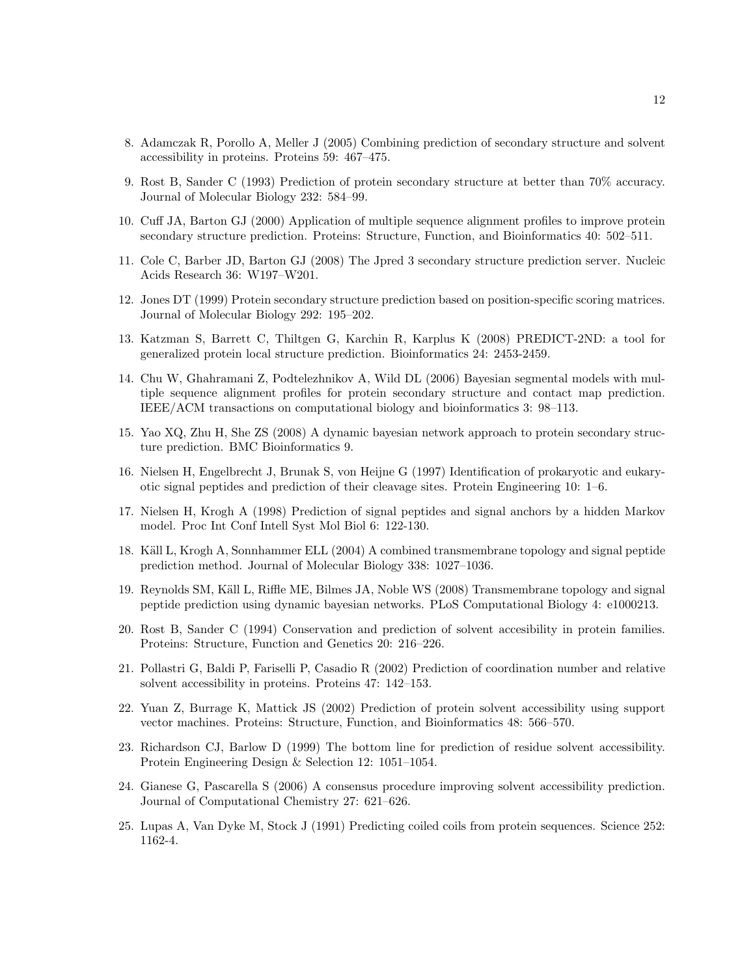- 8. Adamczak R, Porollo A, Meller J (2005) Combining prediction of secondary structure and solvent accessibility in proteins. Proteins 59: 467–475.
- 9. Rost B, Sander C (1993) Prediction of protein secondary structure at better than 70% accuracy. Journal of Molecular Biology 232: 584–99.
- 10. Cuff JA, Barton GJ (2000) Application of multiple sequence alignment profiles to improve protein secondary structure prediction. Proteins: Structure, Function, and Bioinformatics 40: 502–511.
- 11. Cole C, Barber JD, Barton GJ (2008) The Jpred 3 secondary structure prediction server. Nucleic Acids Research 36: W197–W201.
- 12. Jones DT (1999) Protein secondary structure prediction based on position-specific scoring matrices. Journal of Molecular Biology 292: 195–202.
- 13. Katzman S, Barrett C, Thiltgen G, Karchin R, Karplus K (2008) PREDICT-2ND: a tool for generalized protein local structure prediction. Bioinformatics 24: 2453-2459.
- 14. Chu W, Ghahramani Z, Podtelezhnikov A, Wild DL (2006) Bayesian segmental models with multiple sequence alignment profiles for protein secondary structure and contact map prediction. IEEE/ACM transactions on computational biology and bioinformatics 3: 98–113.
- 15. Yao XQ, Zhu H, She ZS (2008) A dynamic bayesian network approach to protein secondary structure prediction. BMC Bioinformatics 9.
- 16. Nielsen H, Engelbrecht J, Brunak S, von Heijne G (1997) Identification of prokaryotic and eukaryotic signal peptides and prediction of their cleavage sites. Protein Engineering 10: 1–6.
- 17. Nielsen H, Krogh A (1998) Prediction of signal peptides and signal anchors by a hidden Markov model. Proc Int Conf Intell Syst Mol Biol 6: 122-130.
- 18. K¨all L, Krogh A, Sonnhammer ELL (2004) A combined transmembrane topology and signal peptide prediction method. Journal of Molecular Biology 338: 1027–1036.
- 19. Reynolds SM, K¨all L, Riffle ME, Bilmes JA, Noble WS (2008) Transmembrane topology and signal peptide prediction using dynamic bayesian networks. PLoS Computational Biology 4: e1000213.
- 20. Rost B, Sander C (1994) Conservation and prediction of solvent accesibility in protein families. Proteins: Structure, Function and Genetics 20: 216–226.
- 21. Pollastri G, Baldi P, Fariselli P, Casadio R (2002) Prediction of coordination number and relative solvent accessibility in proteins. Proteins 47: 142–153.
- 22. Yuan Z, Burrage K, Mattick JS (2002) Prediction of protein solvent accessibility using support vector machines. Proteins: Structure, Function, and Bioinformatics 48: 566–570.
- 23. Richardson CJ, Barlow D (1999) The bottom line for prediction of residue solvent accessibility. Protein Engineering Design & Selection 12: 1051–1054.
- 24. Gianese G, Pascarella S (2006) A consensus procedure improving solvent accessibility prediction. Journal of Computational Chemistry 27: 621–626.
- 25. Lupas A, Van Dyke M, Stock J (1991) Predicting coiled coils from protein sequences. Science 252: 1162-4.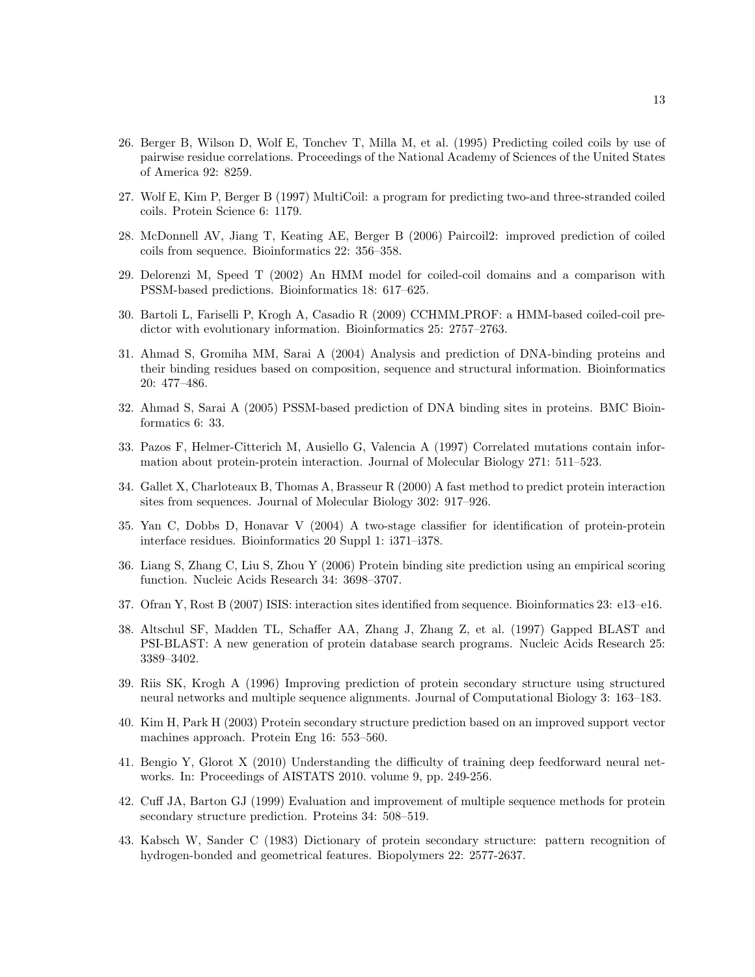- 26. Berger B, Wilson D, Wolf E, Tonchev T, Milla M, et al. (1995) Predicting coiled coils by use of pairwise residue correlations. Proceedings of the National Academy of Sciences of the United States of America 92: 8259.
- 27. Wolf E, Kim P, Berger B (1997) MultiCoil: a program for predicting two-and three-stranded coiled coils. Protein Science 6: 1179.
- 28. McDonnell AV, Jiang T, Keating AE, Berger B (2006) Paircoil2: improved prediction of coiled coils from sequence. Bioinformatics 22: 356–358.
- 29. Delorenzi M, Speed T (2002) An HMM model for coiled-coil domains and a comparison with PSSM-based predictions. Bioinformatics 18: 617–625.
- 30. Bartoli L, Fariselli P, Krogh A, Casadio R (2009) CCHMM PROF: a HMM-based coiled-coil predictor with evolutionary information. Bioinformatics 25: 2757–2763.
- 31. Ahmad S, Gromiha MM, Sarai A (2004) Analysis and prediction of DNA-binding proteins and their binding residues based on composition, sequence and structural information. Bioinformatics 20: 477–486.
- 32. Ahmad S, Sarai A (2005) PSSM-based prediction of DNA binding sites in proteins. BMC Bioinformatics 6: 33.
- 33. Pazos F, Helmer-Citterich M, Ausiello G, Valencia A (1997) Correlated mutations contain information about protein-protein interaction. Journal of Molecular Biology 271: 511–523.
- 34. Gallet X, Charloteaux B, Thomas A, Brasseur R (2000) A fast method to predict protein interaction sites from sequences. Journal of Molecular Biology 302: 917–926.
- 35. Yan C, Dobbs D, Honavar V (2004) A two-stage classifier for identification of protein-protein interface residues. Bioinformatics 20 Suppl 1: i371–i378.
- 36. Liang S, Zhang C, Liu S, Zhou Y (2006) Protein binding site prediction using an empirical scoring function. Nucleic Acids Research 34: 3698–3707.
- 37. Ofran Y, Rost B (2007) ISIS: interaction sites identified from sequence. Bioinformatics 23: e13–e16.
- 38. Altschul SF, Madden TL, Schaffer AA, Zhang J, Zhang Z, et al. (1997) Gapped BLAST and PSI-BLAST: A new generation of protein database search programs. Nucleic Acids Research 25: 3389–3402.
- 39. Riis SK, Krogh A (1996) Improving prediction of protein secondary structure using structured neural networks and multiple sequence alignments. Journal of Computational Biology 3: 163–183.
- 40. Kim H, Park H (2003) Protein secondary structure prediction based on an improved support vector machines approach. Protein Eng 16: 553–560.
- 41. Bengio Y, Glorot X (2010) Understanding the difficulty of training deep feedforward neural networks. In: Proceedings of AISTATS 2010. volume 9, pp. 249-256.
- 42. Cuff JA, Barton GJ (1999) Evaluation and improvement of multiple sequence methods for protein secondary structure prediction. Proteins 34: 508–519.
- 43. Kabsch W, Sander C (1983) Dictionary of protein secondary structure: pattern recognition of hydrogen-bonded and geometrical features. Biopolymers 22: 2577-2637.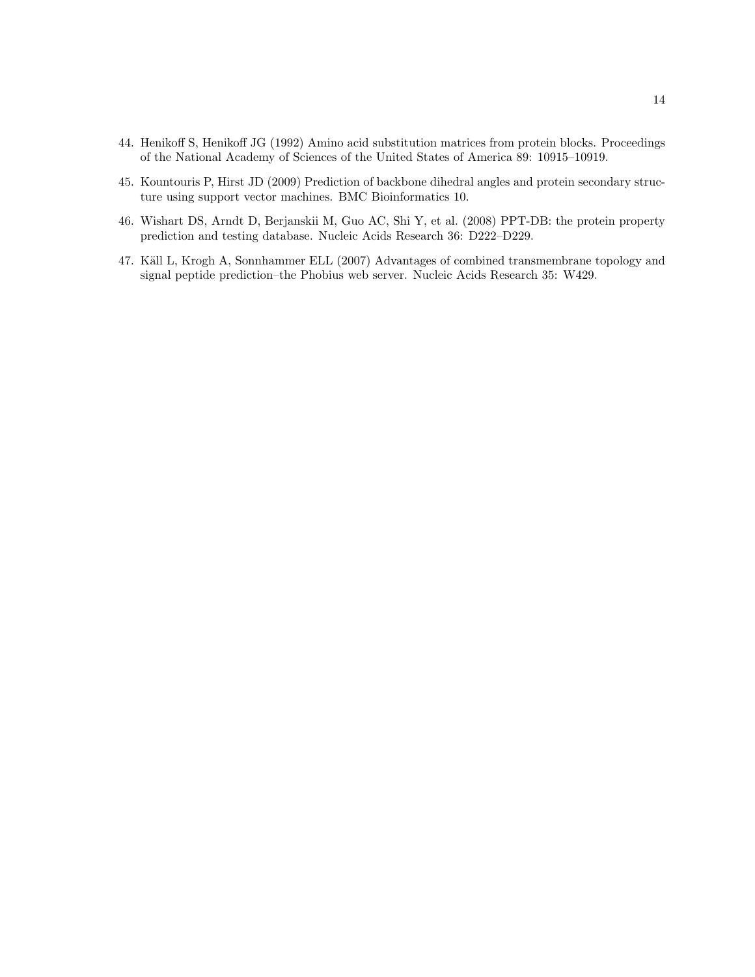- 44. Henikoff S, Henikoff JG (1992) Amino acid substitution matrices from protein blocks. Proceedings of the National Academy of Sciences of the United States of America 89: 10915–10919.
- 45. Kountouris P, Hirst JD (2009) Prediction of backbone dihedral angles and protein secondary structure using support vector machines. BMC Bioinformatics 10.
- 46. Wishart DS, Arndt D, Berjanskii M, Guo AC, Shi Y, et al. (2008) PPT-DB: the protein property prediction and testing database. Nucleic Acids Research 36: D222–D229.
- 47. Käll L, Krogh A, Sonnhammer ELL (2007) Advantages of combined transmembrane topology and signal peptide prediction–the Phobius web server. Nucleic Acids Research 35: W429.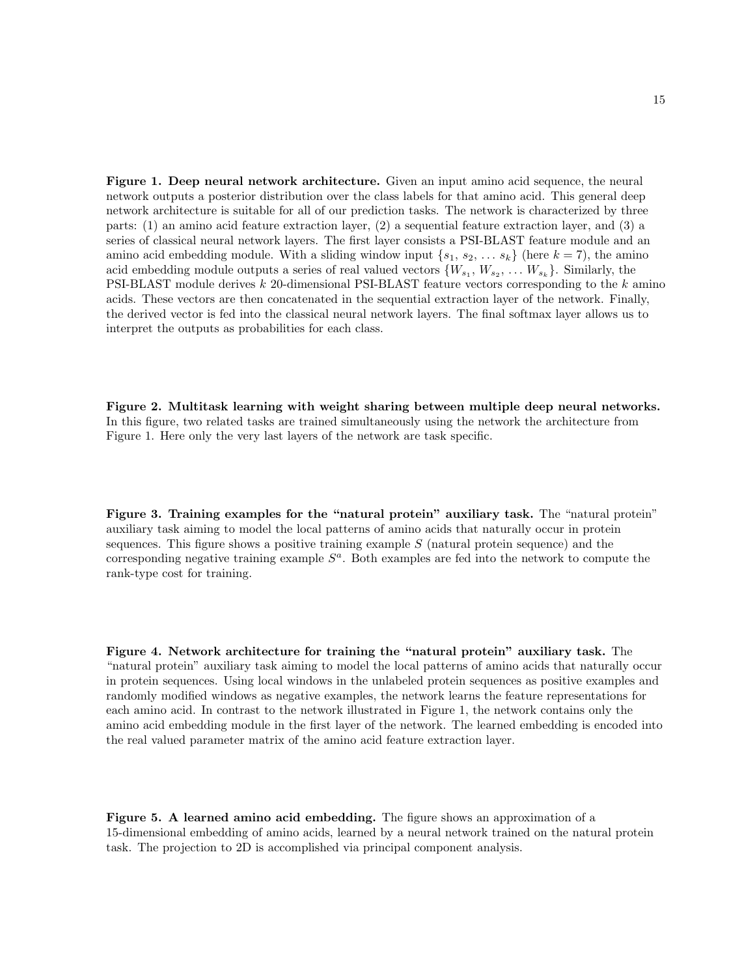Figure 1. Deep neural network architecture. Given an input amino acid sequence, the neural network outputs a posterior distribution over the class labels for that amino acid. This general deep network architecture is suitable for all of our prediction tasks. The network is characterized by three parts: (1) an amino acid feature extraction layer, (2) a sequential feature extraction layer, and (3) a series of classical neural network layers. The first layer consists a PSI-BLAST feature module and an amino acid embedding module. With a sliding window input  $\{s_1, s_2, \ldots s_k\}$  (here  $k = 7$ ), the amino acid embedding module outputs a series of real valued vectors  $\{W_{s_1}, W_{s_2}, \ldots W_{s_k}\}$ . Similarly, the PSI-BLAST module derives k 20-dimensional PSI-BLAST feature vectors corresponding to the k amino acids. These vectors are then concatenated in the sequential extraction layer of the network. Finally, the derived vector is fed into the classical neural network layers. The final softmax layer allows us to interpret the outputs as probabilities for each class.

Figure 2. Multitask learning with weight sharing between multiple deep neural networks. In this figure, two related tasks are trained simultaneously using the network the architecture from Figure 1. Here only the very last layers of the network are task specific.

Figure 3. Training examples for the "natural protein" auxiliary task. The "natural protein" auxiliary task aiming to model the local patterns of amino acids that naturally occur in protein sequences. This figure shows a positive training example  $S$  (natural protein sequence) and the corresponding negative training example  $S<sup>a</sup>$ . Both examples are fed into the network to compute the rank-type cost for training.

Figure 4. Network architecture for training the "natural protein" auxiliary task. The "natural protein" auxiliary task aiming to model the local patterns of amino acids that naturally occur in protein sequences. Using local windows in the unlabeled protein sequences as positive examples and randomly modified windows as negative examples, the network learns the feature representations for each amino acid. In contrast to the network illustrated in Figure 1, the network contains only the amino acid embedding module in the first layer of the network. The learned embedding is encoded into the real valued parameter matrix of the amino acid feature extraction layer.

Figure 5. A learned amino acid embedding. The figure shows an approximation of a 15-dimensional embedding of amino acids, learned by a neural network trained on the natural protein task. The projection to 2D is accomplished via principal component analysis.